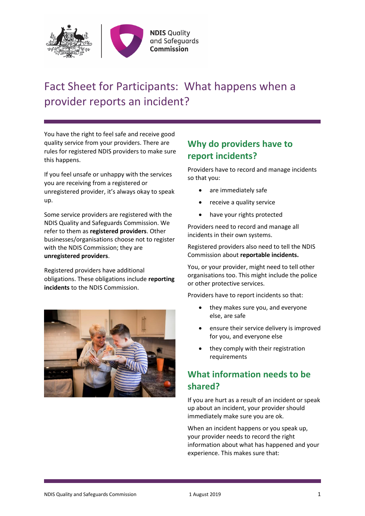

# Fact Sheet for Participants: What happens when a provider reports an incident?

You have the right to feel safe and receive good quality service from your providers. There are rules for registered NDIS providers to make sure this happens.

If you feel unsafe or unhappy with the services you are receiving from a registered or unregistered provider, it's always okay to speak up.

Some service providers are registered with the NDIS Quality and Safeguards Commission. We refer to them as **registered providers**. Other businesses/organisations choose not to register with the NDIS Commission; they are **unregistered providers**.

Registered providers have additional obligations. These obligations include **reporting incidents** to the NDIS Commission.



## **Why do providers have to report incidents?**

Providers have to record and manage incidents so that you:

- are immediately safe
- receive a quality service
- have your rights protected

Providers need to record and manage all incidents in their own systems.

Registered providers also need to tell the NDIS Commission about **reportable incidents.** 

You, or your provider, might need to tell other organisations too. This might include the police or other protective services.

Providers have to report incidents so that:

- they makes sure you, and everyone else, are safe
- ensure their service delivery is improved for you, and everyone else
- they comply with their registration requirements

# **What information needs to be shared?**

If you are hurt as a result of an incident or speak up about an incident, your provider should immediately make sure you are ok.

When an incident happens or you speak up, your provider needs to record the right information about what has happened and your experience. This makes sure that: